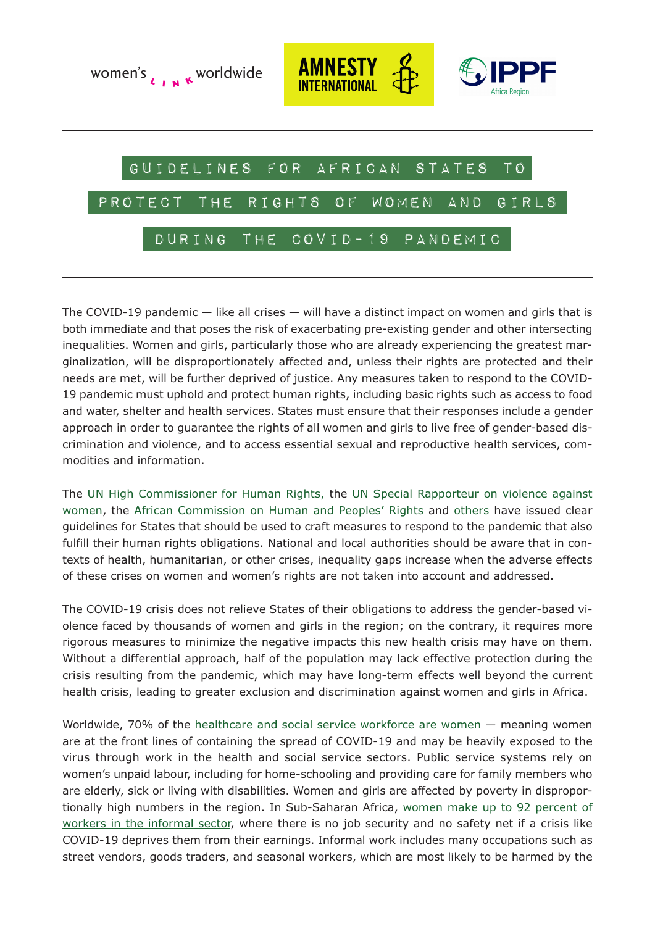





# GUIDELINES for African States to

## protect the rights of women and girls

## during the COVID-19 pandemic

The COVID-19 pandemic — like all crises — will have a distinct impact on women and girls that is both immediate and that poses the risk of exacerbating pre-existing gender and other intersecting inequalities. Women and girls, particularly those who are already experiencing the greatest marginalization, will be disproportionately affected and, unless their rights are protected and their needs are met, will be further deprived of justice. Any measures taken to respond to the COVID-19 pandemic must uphold and protect human rights, including basic rights such as access to food and water, shelter and health services. States must ensure that their responses include a gender approach in order to guarantee the rights of all women and girls to live free of gender-based discrimination and violence, and to access essential sexual and reproductive health services, commodities and information.

The [UN High Commissioner for Human Rights](https://www.ohchr.org/EN/NewsEvents/Pages/DisplayNews.aspx?NewsID=25668&LangID=E), the [UN Special Rapporteur on violence against](https://www.ohchr.org/EN/NewsEvents/Pages/DisplayNews.aspx?NewsID=25749&LangID=E) [women,](https://www.ohchr.org/EN/NewsEvents/Pages/DisplayNews.aspx?NewsID=25749&LangID=E) the [African Commission on Human and Peoples' Rights](https://www.achpr.org/pressrelease/detail?id=483) and [others](https://www.ohchr.org/EN/NewsEvents/Pages/DisplayNews.aspx?NewsID=25808&LangID=E) have issued clear guidelines for States that should be used to craft measures to respond to the pandemic that also fulfill their human rights obligations. National and local authorities should be aware that in contexts of health, humanitarian, or other crises, inequality gaps increase when the adverse effects of these crises on women and women's rights are not taken into account and addressed.

The COVID-19 crisis does not relieve States of their obligations to address the gender-based violence faced by thousands of women and girls in the region; on the contrary, it requires more rigorous measures to minimize the negative impacts this new health crisis may have on them. Without a differential approach, half of the population may lack effective protection during the crisis resulting from the pandemic, which may have long-term effects well beyond the current health crisis, leading to greater exclusion and discrimination against women and girls in Africa.

Worldwide, 70% of the [healthcare and social service workforce are women](https://apps.who.int/iris/bitstream/handle/10665/311314/WHO-HIS-HWF-Gender-WP1-2019.1-eng.pdf?sequence=1&isAllowed=y) — meaning women are at the front lines of containing the spread of COVID-19 and may be heavily exposed to the virus through work in the health and social service sectors. Public service systems rely on women's unpaid labour, including for home-schooling and providing care for family members who are elderly, sick or living with disabilities. Women and girls are affected by poverty in disproportionally high numbers in the region. In Sub-Saharan Africa, [women make up to 92 percent of](https://www.ilo.org/wcmsp5/groups/public/---ed_protect/---protrav/---travail/documents/publication/wcms_711798.pdf) workers in the informal sector, where there is no job security and no safety net if a crisis like COVID-19 deprives them from their earnings. Informal work includes many occupations such as street vendors, goods traders, and seasonal workers, which are most likely to be harmed by the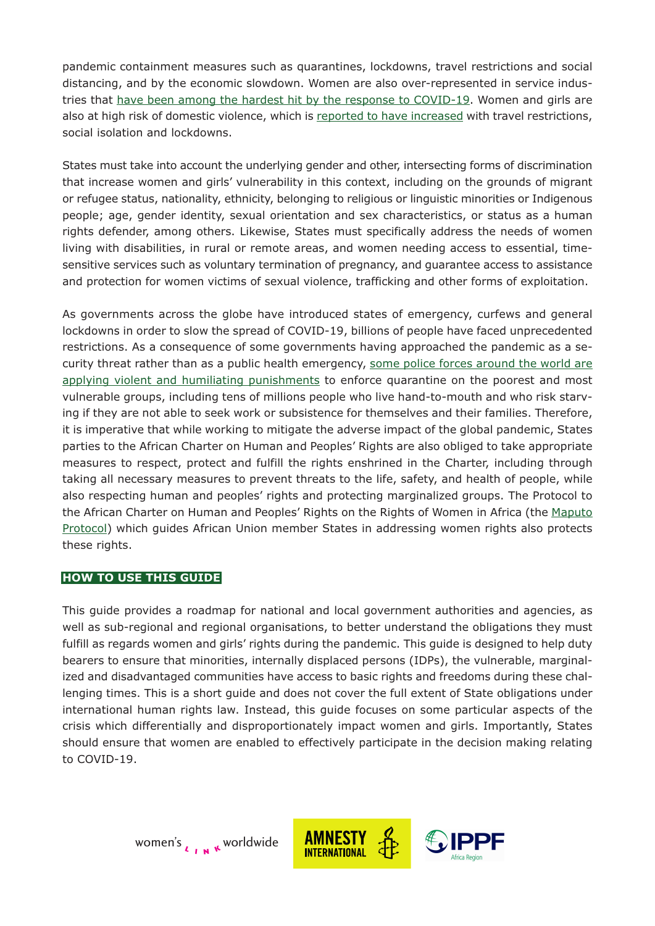pandemic containment measures such as quarantines, lockdowns, travel restrictions and social distancing, and by the economic slowdown. Women are also over-represented in service industries that [have been among the hardest hit by the response to COVID-19.](https://reliefweb.int/sites/reliefweb.int/files/resources/policy-brief-the-impact-of-covid-19-on-women-en.pdf) Women and girls are also at high risk of domestic violence, which is [reported to have increased](https://news.un.org/en/story/2020/04/1061132) with travel restrictions, social isolation and lockdowns.

States must take into account the underlying gender and other, intersecting forms of discrimination that increase women and girls' vulnerability in this context, including on the grounds of migrant or refugee status, nationality, ethnicity, belonging to religious or linguistic minorities or Indigenous people; age, gender identity, sexual orientation and sex characteristics, or status as a human rights defender, among others. Likewise, States must specifically address the needs of women living with disabilities, in rural or remote areas, and women needing access to essential, timesen sitive services such as voluntary termination of pregnancy, and quarantee access to assistance and protection for women victims of sexual violence, trafficking and other forms of exploitation.

As governments across the globe have introduced states of emergency, curfews and general lockdowns in order to slow the spread of COVID-19, billions of people have faced unprecedented restrictions. As a consequence of some governments having approached the pandemic as a security threat rather than as a public health emergency, [some police forces around the world are](https://www.theguardian.com/global-development/2020/apr/01/extreme-coronavirus-lockdown-controls-raise-fears-for-worlds-poorest) [applying violent and humiliating punishments](https://www.theguardian.com/global-development/2020/apr/01/extreme-coronavirus-lockdown-controls-raise-fears-for-worlds-poorest) to enforce quarantine on the poorest and most vulnerable groups, including tens of millions people who live hand-to-mouth and who risk starving if they are not able to seek work or subsistence for themselves and their families. Therefore, it is imperative that while working to mitigate the adverse impact of the global pandemic, States parties to the African Charter on Human and Peoples' Rights are also obliged to take appropriate measures to respect, protect and fulfill the rights enshrined in the Charter, including through taking all necessary measures to prevent threats to the life, safety, and health of people, while also respecting human and peoples' rights and protecting marginalized groups. The Protocol to the African Charter on Human and Peoples' Rights on the Rights of Women in Africa (the [Maputo](https://www.un.org/en/africa/osaa/pdf/au/protocol_rights_women_africa_2003.pdf) [Protocol\)](https://www.un.org/en/africa/osaa/pdf/au/protocol_rights_women_africa_2003.pdf) which guides African Union member States in addressing women rights also protects these rights.

#### **HOW TO USE THIS GUIDE**

This guide provides a roadmap for national and local government authorities and agencies, as well as sub-regional and regional organisations, to better understand the obligations they must fulfill as regards women and girls' rights during the pandemic. This guide is designed to help duty bearers to ensure that minorities, internally displaced persons (IDPs), the vulnerable, marginalized and disadvantaged communities have access to basic rights and freedoms during these challenging times. This is a short guide and does not cover the full extent of State obligations under international human rights law. Instead, this guide focuses on some particular aspects of the crisis which differentially and disproportionately impact women and girls. Importantly, States should ensure that women are enabled to effectively participate in the decision making relating to COVID-19.



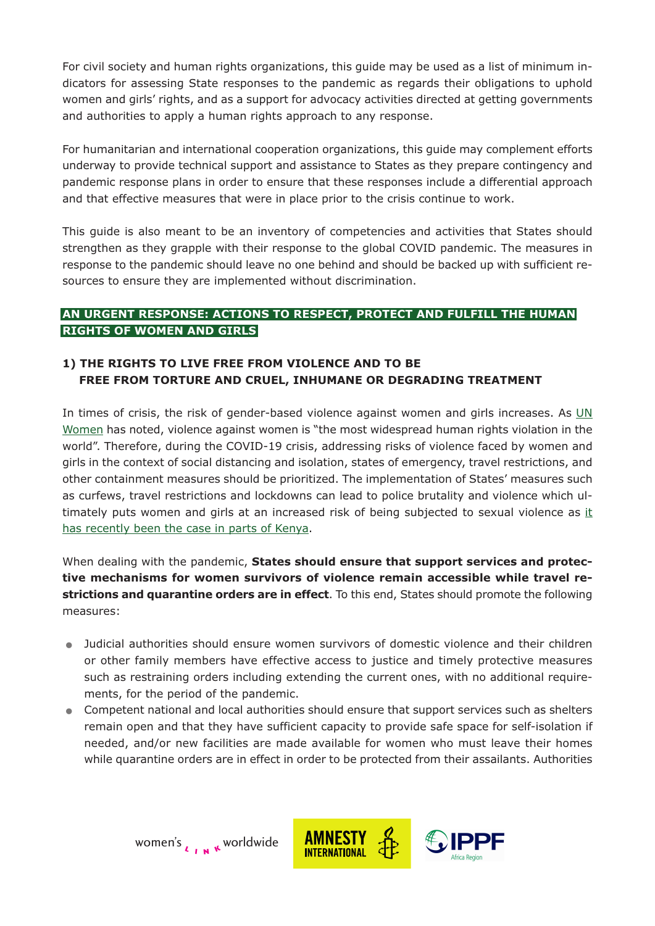For civil society and human rights organizations, this guide may be used as a list of minimum indicators for assessing State responses to the pandemic as regards their obligations to uphold women and girls' rights, and as a support for advocacy activities directed at getting governments and authorities to apply a human rights approach to any response.

For humanitarian and international cooperation organizations, this guide may complement efforts underway to provide technical support and assistance to States as they prepare contingency and pandemic response plans in order to ensure that these responses include a differential approach and that effective measures that were in place prior to the crisis continue to work.

This guide is also meant to be an inventory of competencies and activities that States should strengthen as they grapple with their response to the global COVID pandemic. The measures in response to the pandemic should leave no one behind and should be backed up with sufficient resources to ensure they are implemented without discrimination.

### **AN URGENT RESPONSE: ACTIONS TO RESPECT, PROTECT AND FULFILL THE HUMAN RIGHTS OF WOMEN AND GIRLS**

#### **1) THE RIGHTS TO LIVE FREE FROM VIOLENCE AND TO BE FREE FROM TORTURE AND CRUEL, INHUMANE OR DEGRADING TREATMENT**

In times of crisis, the risk of gender-based violence against women and girls increases. As  $UN$ [Women](https://www.unwomen.org/en/news/in-focus/in-focus-gender-equality-in-covid-19-response) has noted, violence against women is "the most widespread human rights violation in the world". Therefore, during the COVID-19 crisis, addressing risks of violence faced by women and girls in the context of social distancing and isolation, states of emergency, travel restrictions, and other containment measures should be prioritized. The implementation of States' measures such as curfews, travel restrictions and lockdowns can lead to police brutality and violence which ultimately puts women and girls at an increased risk of being subjected to sexual violence as [it](https://www.nation.co.ke/news/Sexual-violence-cases-rise-amid-virus-curfew/1056-5522346-vd87a4z/index.html) [has recently been the case in parts of Kenya](https://www.nation.co.ke/news/Sexual-violence-cases-rise-amid-virus-curfew/1056-5522346-vd87a4z/index.html).

When dealing with the pandemic, **States should ensure that support services and protective mechanisms for women survivors of violence remain accessible while travel restrictions and quarantine orders are in effect**. To this end, States should promote the following measures:

- . Judicial authorities should ensure women survivors of domestic violence and their children or other family members have effective access to justice and timely protective measures such as restraining orders including extending the current ones, with no additional requirements, for the period of the pandemic.
- . Competent national and local authorities should ensure that support services such as shelters remain open and that they have sufficient capacity to provide safe space for self-isolation if needed, and/or new facilities are made available for women who must leave their homes while quarantine orders are in effect in order to be protected from their assailants. Authorities



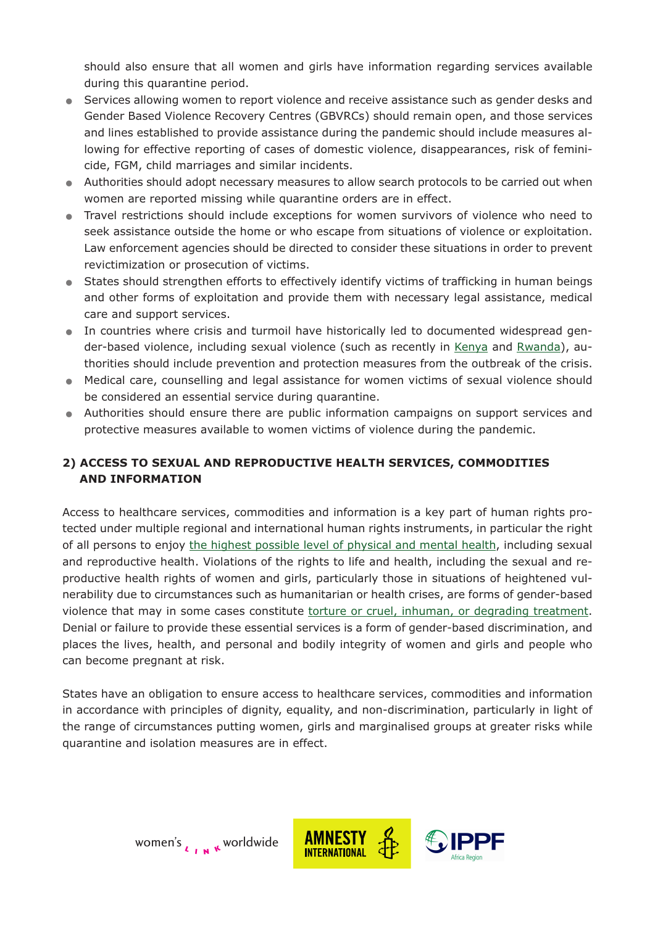should also ensure that all women and girls have information regarding services available during this quarantine period.

- . Services allowing women to report violence and receive assistance such as gender desks and Gender Based Violence Recovery Centres (GBVRCs) should remain open, and those services and lines established to provide assistance during the pandemic should include measures allowing for effective reporting of cases of domestic violence, disappearances, risk of feminicide, FGM, child marriages and similar incidents.
- . Authorities should adopt necessary measures to allow search protocols to be carried out when women are reported missing while quarantine orders are in effect.
- . Travel restrictions should include exceptions for women survivors of violence who need to seek assistance outside the home or who escape from situations of violence or exploitation. Law enforcement agencies should be directed to consider these situations in order to prevent revictimization or prosecution of victims.
- . States should strengthen efforts to effectively identify victims of trafficking in human beings and other forms of exploitation and provide them with necessary legal assistance, medical care and support services.
- . In countries where crisis and turmoil have historically led to documented widespread gender-based violence, including sexual violence (such as recently in [Kenya](https://www.hrw.org/news/2017/12/14/kenya-sexual-violence-marred-elections) and [Rwanda](https://face2faceafrica.com/article/rwandan-soldiers-rape-women-to-enforce-coronavirus-lockdown)), authorities should include prevention and protection measures from the outbreak of the crisis.
- . Medical care, counselling and legal assistance for women victims of sexual violence should be considered an essential service during quarantine.
- . Authorities should ensure there are public information campaigns on support services and protective measures available to women victims of violence during the pandemic.

## **2) ACCESS TO SEXUAL AND REPRODUCTIVE HEALTH SERVICES, COMMODITIES AND INFORMATION**

Access to healthcare services, commodities and information is a key part of human rights protected under multiple regional and international human rights instruments, in particular the right of all persons to enjoy [the highest possible level of physical and mental health,](https://www.ohchr.org/Documents/Publications/Factsheet31.pdf) including sexual and reproductive health. Violations of the rights to life and health, including the sexual and reproductive health rights of women and girls, particularly those in situations of heightened vulnerability due to circumstances such as humanitarian or health crises, are forms of gender-based violence that may in some cases constitute [torture or cruel, inhuman, or degrading treatment.](https://undocs.org/CEDAW/C/GC/35) Denial or failure to provide these essential services is a form of gender-based discrimination, and places the lives, health, and personal and bodily integrity of women and girls and people who can become pregnant at risk.

States have an obligation to ensure access to healthcare services, commodities and information in accordance with principles of dignity, equality, and non-discrimination, particularly in light of the range of circumstances putting women, girls and marginalised groups at greater risks while quarantine and isolation measures are in effect.



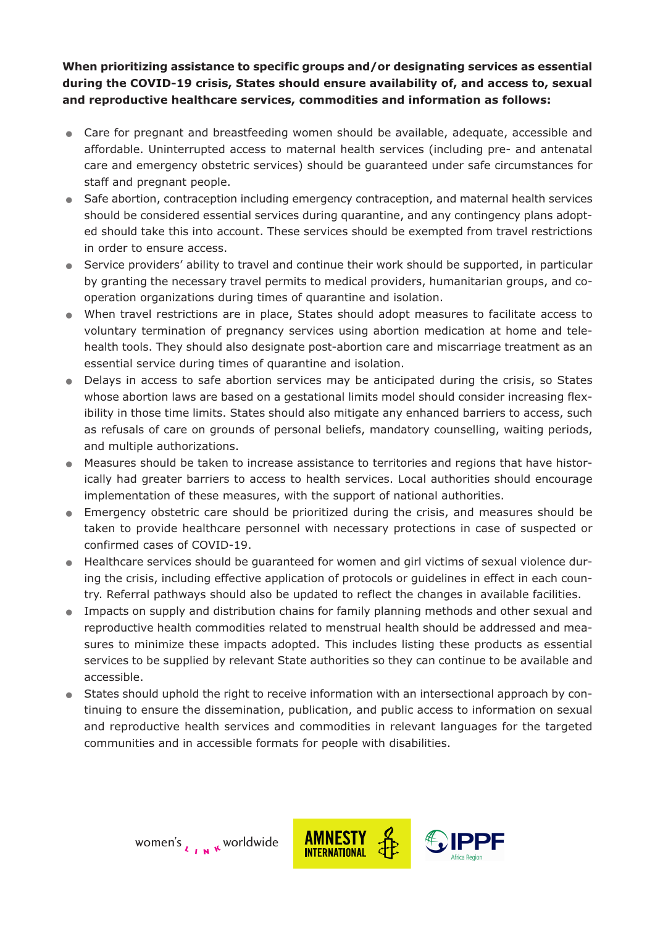**When prioritizing assistance to specific groups and/or designating services as essential during the COVID-19 crisis, States should ensure availability of, and access to, sexual and reproductive healthcare services, commodities and information as follows:**

- . Care for pregnant and breastfeeding women should be available, adequate, accessible and affordable. Uninterrupted access to maternal health services (including pre- and antenatal care and emergency obstetric services) should be guaranteed under safe circumstances for staff and pregnant people.
- . Safe abortion, contraception including emergency contraception, and maternal health services should be considered essential services during quarantine, and any contingency plans adopted should take this into account. These services should be exempted from travel restrictions in order to ensure access.
- . Service providers' ability to travel and continue their work should be supported, in particular by granting the necessary travel permits to medical providers, humanitarian groups, and cooperation organizations during times of quarantine and isolation.
- . When travel restrictions are in place, States should adopt measures to facilitate access to voluntary termination of pregnancy services using abortion medication at home and telehealth tools. They should also designate post-abortion care and miscarriage treatment as an essential service during times of quarantine and isolation.
- . Delays in access to safe abortion services may be anticipated during the crisis, so States whose abortion laws are based on a gestational limits model should consider increasing flexibility in those time limits. States should also mitigate any enhanced barriers to access, such as refusals of care on grounds of personal beliefs, mandatory counselling, waiting periods, and multiple authorizations.
- . Measures should be taken to increase assistance to territories and regions that have historically had greater barriers to access to health services. Local authorities should encourage implementation of these measures, with the support of national authorities.
- . Emergency obstetric care should be prioritized during the crisis, and measures should be taken to provide healthcare personnel with necessary protections in case of suspected or confirmed cases of COVID-19.
- . Healthcare services should be guaranteed for women and girl victims of sexual violence during the crisis, including effective application of protocols or guidelines in effect in each country. Referral pathways should also be updated to reflect the changes in available facilities. Impacts on supply and distribution chains for family planning methods and other sexual and<br>
Impacts on supply and distribution chains for family planning methods and other sexual and<br>
Impacts on supply and distribution cha
- reproductive health commodities related to menstrual health should be addressed and measures to minimize these impacts adopted. This includes listing these products as essential services to be supplied by relevant State authorities so they can continue to be available and accessible.
- . States should uphold the right to receive information with an intersectional approach by continuing to ensure the dissemination, publication, and public access to information on sexual and reproductive health services and commodities in relevant languages for the targeted communities and in accessible formats for people with disabilities.

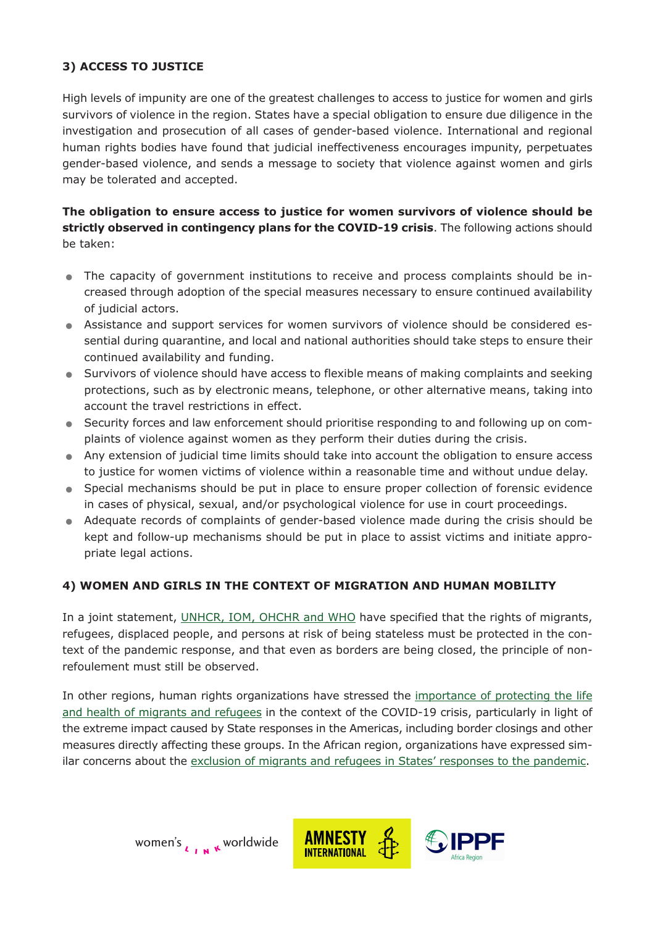### **3) ACCESS TO JUSTICE**

High levels of impunity are one of the greatest challenges to access to justice for women and girls survivors of violence in the region. States have a special obligation to ensure due diligence in the investigation and prosecution of all cases of gender-based violence. International and regional human rights bodies have found that judicial ineffectiveness encourages impunity, perpetuates gender-based violence, and sends a message to society that violence against women and girls may be tolerated and accepted.

**The obligation to ensure access to justice for women survivors of violence should be strictly observed in contingency plans for the COVID-19 crisis**. The following actions should be taken:

- . The capacity of government institutions to receive and process complaints should be increased through adoption of the special measures necessary to ensure continued availability of judicial actors.
- . Assistance and support services for women survivors of violence should be considered essential during quarantine, and local and national authorities should take steps to ensure their continued availability and funding.
- . Survivors of violence should have access to flexible means of making complaints and seeking protections, such as by electronic means, telephone, or other alternative means, taking into account the travel restrictions in effect.
- . Security forces and law enforcement should prioritise responding to and following up on complaints of violence against women as they perform their duties during the crisis.
- . Any extension of judicial time limits should take into account the obligation to ensure access to justice for women victims of violence within a reasonable time and without undue delay.
- . Special mechanisms should be put in place to ensure proper collection of forensic evidence in cases of physical, sexual, and/or psychological violence for use in court proceedings. • Special mechanisms should be put in place to ensure proper collection of forensic evidence<br>in cases of physical, sexual, and/or psychological violence for use in court proceedings.<br>Adequate records of complaints of gende
- kept and follow-up mechanisms should be put in place to assist victims and initiate appropriate legal actions.

#### **4) WOMEN AND GIRLS IN THE CONTEXT OF MIGRATION AND HUMAN MOBILITY**

In a joint statement, [UNHCR, IOM, OHCHR and WHO](https://www.ohchr.org/EN/NewsEvents/Pages/DisplayNews.aspx?NewsID=25762&LangID=E) have specified that the rights of migrants, refugees, displaced people, and persons at risk of being stateless must be protected in the context of the pandemic response, and that even as borders are being closed, the principle of nonrefoulement must still be observed.

In other regions, human rights organizations have stressed the [importance of protecting the life](https://www.refugeesinternational.org/reports/2020/4/29/14-principles-of-protection-for-migrants-and-displaced-people-during-covid-19) [and health of migrants and refugees](https://www.refugeesinternational.org/reports/2020/4/29/14-principles-of-protection-for-migrants-and-displaced-people-during-covid-19) in the context of the COVID-19 crisis, particularly in light of the extreme impact caused by State responses in the Americas, including border closings and other measures directly affecting these groups. In the African region, organizations have expressed similar concerns about the [exclusion of migrants and refugees in States' responses to the pandemic.](https://issafrica.org/iss-today/covid-19-responses-in-africa-must-include-migrants-and-refugees)



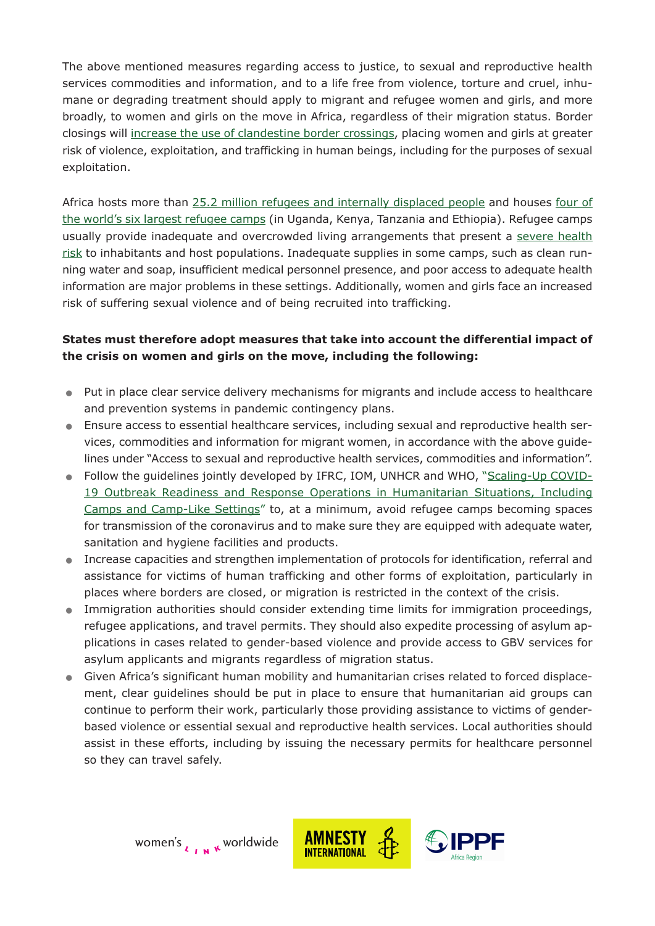The above mentioned measures regarding access to justice, to sexual and reproductive health services commodities and information, and to a life free from violence, torture and cruel, inhumane or degrading treatment should apply to migrant and refugee women and girls, and more broadly, to women and girls on the move in Africa, regardless of their migration status. Border closings will [increase the use of clandestine border crossings,](https://zolberginstitute.org/covid-19/) placing women and girls at greater risk of violence, exploitation, and trafficking in human beings, including for the purposes of sexual exploitation.

Africa hosts more than [25.2 million refugees and internally displaced people](https://www.unhcr.org/5d08d7ee7.pdf) and houses [four of](https://www.unrefugees.org/refugee-facts/camps/) [the world's six largest refugee camps](https://www.unrefugees.org/refugee-facts/camps/) (in Uganda, Kenya, Tanzania and Ethiopia). Refugee camps usually provide inadequate and overcrowded living arrangements that present a [severe health](https://www.thelancet.com/journals/lancet/article/PIIS0140-6736(20)30791-1/fulltext) [risk](https://www.thelancet.com/journals/lancet/article/PIIS0140-6736(20)30791-1/fulltext) to inhabitants and host populations. Inadequate supplies in some camps, such as clean running water and soap, insufficient medical personnel presence, and poor access to adequate health information are major problems in these settings. Additionally, women and girls face an increased risk of suffering sexual violence and of being recruited into trafficking.

### **States must therefore adopt measures that take into account the differential impact of the crisis on women and girls on the move, including the following:**

- . Put in place clear service delivery mechanisms for migrants and include access to healthcare and prevention systems in pandemic contingency plans.
- . Ensure access to essential healthcare services, including sexual and reproductive health services, commodities and information for migrant women, in accordance with the above guidelines under "Access to sexual and reproductive health services, commodities and information".
- . Follow the guidelines jointly developed by IFRC, IOM, UNHCR and WHO, ["Scaling-Up COVID-](https://interagencystandingcommittee.org/system/files/2020-04/IASC%20Interim%20Guidance%20on%20COVID-19%20for%20Outbreak%20Readiness%20and%20Response%20Operations%20-%20Camps%20and%20Camp-like%20Settings.pdf)[19 Outbreak Readiness and Response Operations in Humanitarian Situations, Including](https://interagencystandingcommittee.org/system/files/2020-04/IASC%20Interim%20Guidance%20on%20COVID-19%20for%20Outbreak%20Readiness%20and%20Response%20Operations%20-%20Camps%20and%20Camp-like%20Settings.pdf) [Camps and Camp-Like Settings"](https://interagencystandingcommittee.org/system/files/2020-04/IASC%20Interim%20Guidance%20on%20COVID-19%20for%20Outbreak%20Readiness%20and%20Response%20Operations%20-%20Camps%20and%20Camp-like%20Settings.pdf) to, at a minimum, avoid refugee camps becoming spaces for transmission of the coronavirus and to make sure they are equipped with adequate water, sanitation and hygiene facilities and products.
- . Increase capacities and strengthen implementation of protocols for identification, referral and assistance for victims of human trafficking and other forms of exploitation, particularly in places where borders are closed, or migration is restricted in the context of the crisis.
- . Immigration authorities should consider extending time limits for immigration proceedings, refugee applications, and travel permits. They should also expedite processing of asylum applications in cases related to gender-based violence and provide access to GBV services for asylum applicants and migrants regardless of migration status.
- . Given Africa's significant human mobility and humanitarian crises related to forced displacement, clear guidelines should be put in place to ensure that humanitarian aid groups can continue to perform their work, particularly those providing assistance to victims of genderbased violence or essential sexual and reproductive health services. Local authorities should assist in these efforts, including by issuing the necessary permits for healthcare personnel so they can travel safely.